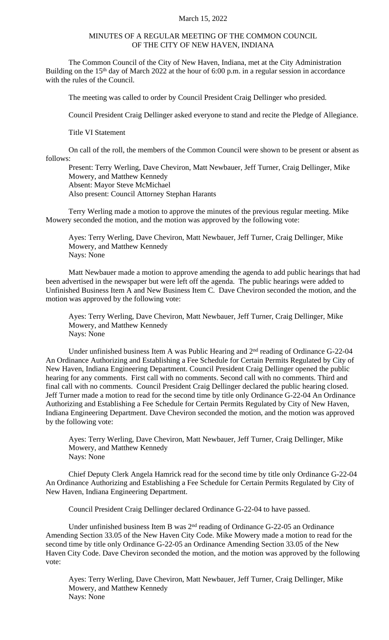## March 15, 2022

## MINUTES OF A REGULAR MEETING OF THE COMMON COUNCIL OF THE CITY OF NEW HAVEN, INDIANA

The Common Council of the City of New Haven, Indiana, met at the City Administration Building on the 15<sup>th</sup> day of March 2022 at the hour of 6:00 p.m. in a regular session in accordance with the rules of the Council.

The meeting was called to order by Council President Craig Dellinger who presided.

Council President Craig Dellinger asked everyone to stand and recite the Pledge of Allegiance.

Title VI Statement

On call of the roll, the members of the Common Council were shown to be present or absent as follows:

Present: Terry Werling, Dave Cheviron, Matt Newbauer, Jeff Turner, Craig Dellinger, Mike Mowery, and Matthew Kennedy Absent: Mayor Steve McMichael Also present: Council Attorney Stephan Harants

Terry Werling made a motion to approve the minutes of the previous regular meeting. Mike Mowery seconded the motion, and the motion was approved by the following vote:

Ayes: Terry Werling, Dave Cheviron, Matt Newbauer, Jeff Turner, Craig Dellinger, Mike Mowery, and Matthew Kennedy Nays: None

Matt Newbauer made a motion to approve amending the agenda to add public hearings that had been advertised in the newspaper but were left off the agenda. The public hearings were added to Unfinished Business Item A and New Business Item C. Dave Cheviron seconded the motion, and the motion was approved by the following vote:

Ayes: Terry Werling, Dave Cheviron, Matt Newbauer, Jeff Turner, Craig Dellinger, Mike Mowery, and Matthew Kennedy Nays: None

Under unfinished business Item A was Public Hearing and  $2<sup>nd</sup>$  reading of Ordinance G-22-04 An Ordinance Authorizing and Establishing a Fee Schedule for Certain Permits Regulated by City of New Haven, Indiana Engineering Department. Council President Craig Dellinger opened the public hearing for any comments. First call with no comments. Second call with no comments. Third and final call with no comments. Council President Craig Dellinger declared the public hearing closed. Jeff Turner made a motion to read for the second time by title only Ordinance G-22-04 An Ordinance Authorizing and Establishing a Fee Schedule for Certain Permits Regulated by City of New Haven, Indiana Engineering Department. Dave Cheviron seconded the motion, and the motion was approved by the following vote:

Ayes: Terry Werling, Dave Cheviron, Matt Newbauer, Jeff Turner, Craig Dellinger, Mike Mowery, and Matthew Kennedy Nays: None

Chief Deputy Clerk Angela Hamrick read for the second time by title only Ordinance G-22-04 An Ordinance Authorizing and Establishing a Fee Schedule for Certain Permits Regulated by City of New Haven, Indiana Engineering Department.

Council President Craig Dellinger declared Ordinance G-22-04 to have passed.

Under unfinished business Item B was 2<sup>nd</sup> reading of Ordinance G-22-05 an Ordinance Amending Section 33.05 of the New Haven City Code. Mike Mowery made a motion to read for the second time by title only Ordinance G-22-05 an Ordinance Amending Section 33.05 of the New Haven City Code. Dave Cheviron seconded the motion, and the motion was approved by the following vote:

Ayes: Terry Werling, Dave Cheviron, Matt Newbauer, Jeff Turner, Craig Dellinger, Mike Mowery, and Matthew Kennedy Nays: None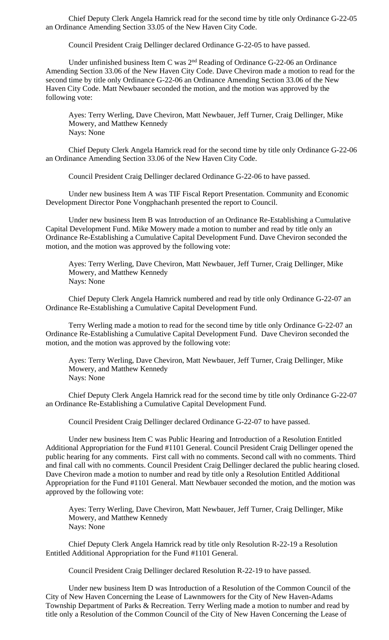Chief Deputy Clerk Angela Hamrick read for the second time by title only Ordinance G-22-05 an Ordinance Amending Section 33.05 of the New Haven City Code.

Council President Craig Dellinger declared Ordinance G-22-05 to have passed.

Under unfinished business Item C was 2<sup>nd</sup> Reading of Ordinance G-22-06 an Ordinance Amending Section 33.06 of the New Haven City Code. Dave Cheviron made a motion to read for the second time by title only Ordinance G-22-06 an Ordinance Amending Section 33.06 of the New Haven City Code. Matt Newbauer seconded the motion, and the motion was approved by the following vote:

Ayes: Terry Werling, Dave Cheviron, Matt Newbauer, Jeff Turner, Craig Dellinger, Mike Mowery, and Matthew Kennedy Nays: None

Chief Deputy Clerk Angela Hamrick read for the second time by title only Ordinance G-22-06 an Ordinance Amending Section 33.06 of the New Haven City Code.

Council President Craig Dellinger declared Ordinance G-22-06 to have passed.

Under new business Item A was TIF Fiscal Report Presentation. Community and Economic Development Director Pone Vongphachanh presented the report to Council.

Under new business Item B was Introduction of an Ordinance Re-Establishing a Cumulative Capital Development Fund. Mike Mowery made a motion to number and read by title only an Ordinance Re-Establishing a Cumulative Capital Development Fund. Dave Cheviron seconded the motion, and the motion was approved by the following vote:

Ayes: Terry Werling, Dave Cheviron, Matt Newbauer, Jeff Turner, Craig Dellinger, Mike Mowery, and Matthew Kennedy Nays: None

Chief Deputy Clerk Angela Hamrick numbered and read by title only Ordinance G-22-07 an Ordinance Re-Establishing a Cumulative Capital Development Fund.

Terry Werling made a motion to read for the second time by title only Ordinance G-22-07 an Ordinance Re-Establishing a Cumulative Capital Development Fund. Dave Cheviron seconded the motion, and the motion was approved by the following vote:

Ayes: Terry Werling, Dave Cheviron, Matt Newbauer, Jeff Turner, Craig Dellinger, Mike Mowery, and Matthew Kennedy Nays: None

Chief Deputy Clerk Angela Hamrick read for the second time by title only Ordinance G-22-07 an Ordinance Re-Establishing a Cumulative Capital Development Fund.

Council President Craig Dellinger declared Ordinance G-22-07 to have passed.

Under new business Item C was Public Hearing and Introduction of a Resolution Entitled Additional Appropriation for the Fund #1101 General. Council President Craig Dellinger opened the public hearing for any comments. First call with no comments. Second call with no comments. Third and final call with no comments. Council President Craig Dellinger declared the public hearing closed. Dave Cheviron made a motion to number and read by title only a Resolution Entitled Additional Appropriation for the Fund #1101 General. Matt Newbauer seconded the motion, and the motion was approved by the following vote:

Ayes: Terry Werling, Dave Cheviron, Matt Newbauer, Jeff Turner, Craig Dellinger, Mike Mowery, and Matthew Kennedy Nays: None

Chief Deputy Clerk Angela Hamrick read by title only Resolution R-22-19 a Resolution Entitled Additional Appropriation for the Fund #1101 General.

Council President Craig Dellinger declared Resolution R-22-19 to have passed.

Under new business Item D was Introduction of a Resolution of the Common Council of the City of New Haven Concerning the Lease of Lawnmowers for the City of New Haven-Adams Township Department of Parks & Recreation. Terry Werling made a motion to number and read by title only a Resolution of the Common Council of the City of New Haven Concerning the Lease of